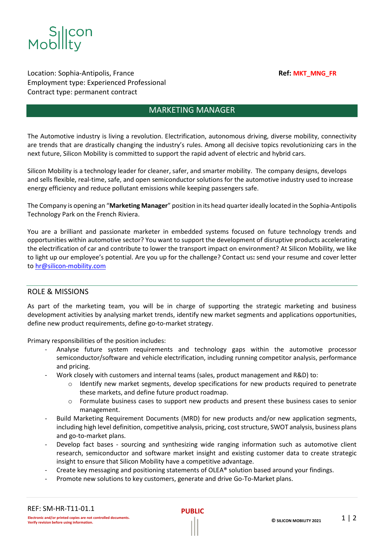

Location: Sophia-Antipolis, France **Ref: Ref: MKT\_MNG\_FR** Employment type: Experienced Professional Contract type: permanent contract

# MARKETING MANAGER

The Automotive industry is living a revolution. Electrification, autonomous driving, diverse mobility, connectivity are trends that are drastically changing the industry's rules. Among all decisive topics revolutionizing cars in the next future, Silicon Mobility is committed to support the rapid advent of electric and hybrid cars.

Silicon Mobility is a technology leader for cleaner, safer, and smarter mobility. The company designs, develops and sells flexible, real-time, safe, and open semiconductor solutions for the automotive industry used to increase energy efficiency and reduce pollutant emissions while keeping passengers safe.

The Company is opening an "**Marketing Manager**" position in its head quarterideally located in the Sophia-Antipolis Technology Park on the French Riviera.

You are a brilliant and passionate marketer in embedded systems focused on future technology trends and opportunities within automotive sector? You want to support the development of disruptive products accelerating the electrification of car and contribute to lower the transport impact on environment? At Silicon Mobility, we like to light up our employee's potential. Are you up for the challenge? Contact us**:** send your resume and cover letter t[o hr@silicon-mobility.com](mailto:hr@silicon-mobility.com) 

## ROLE & MISSIONS

As part of the marketing team, you will be in charge of supporting the strategic marketing and business development activities by analysing market trends, identify new market segments and applications opportunities, define new product requirements, define go-to-market strategy.

Primary responsibilities of the position includes:

- Analyse future system requirements and technology gaps within the automotive processor semiconductor/software and vehicle electrification, including running competitor analysis, performance and pricing.
- Work closely with customers and internal teams (sales, product management and R&D) to:
	- $\circ$  Identify new market segments, develop specifications for new products required to penetrate these markets, and define future product roadmap.
	- o Formulate business cases to support new products and present these business cases to senior management.
- Build Marketing Requirement Documents (MRD) for new products and/or new application segments, including high level definition, competitive analysis, pricing, cost structure, SWOT analysis, business plans and go-to-market plans.
- Develop fact bases sourcing and synthesizing wide ranging information such as automotive client research, semiconductor and software market insight and existing customer data to create strategic insight to ensure that Silicon Mobility have a competitive advantage.
- Create key messaging and positioning statements of OLEA® solution based around your findings.
- Promote new solutions to key customers, generate and drive Go-To-Market plans.